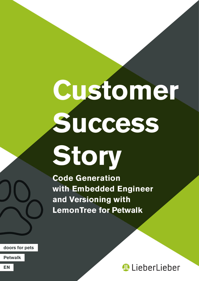# **Customer Success Story**

**Code Generation with Embedded Engineer and Versioning with LemonTree for Petwalk**

**doors for pets**

**Petwalk**

**LieberLieber**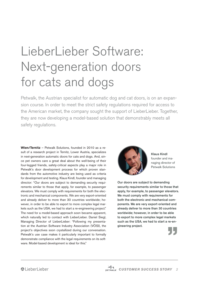## LieberLieber Software: Next-generation doors for cats and dogs

Petwalk, the Austrian specialist for automatic dog and cat doors, is on an expansion course. In order to meet the strict safety regulations required for access to the American market, the company sought the support of LieberLieber. Together, they are now developing a model-based solution that demonstrably meets all safety regulations.

**Wien/Ternitz** – Petwalk Solutions, founded in 2010 as a result of a research project in Ternitz, Lower Austria, specializes in next-generation automatic doors for cats and dogs. And, since pet owners care a great deal about the well-being of their four-legged friends, safety-critical aspects play a major role in Petwalk's door development process for which proven standards from the automotive industry are being used as criteria for development and testing. Klaus Kindl, founder and managing director: "Our doors are subject to demanding security requirements similar to those that apply, for example, to passenger elevators. We must comply with requirements for both the electronic and mechanical components. We are very export-oriented and already deliver to more than 30 countries worldwide; however, in order to be able to export to more complex legal markets such as the USA, we had to start a re-engineering project." The need for a model-based approach soon became apparent, which naturally led to contact with LieberLieber. Daniel Siegl, Managing Director of LieberLieber: "Following my presentation at the Austrian Software Industry Association (VÖSI), the project's objectives soon crystallized during our conversation. Petwalk's use case makes it particularly important to formally demonstrate compliance with the legal requirements on its software. Model-based development is ideal for this."



Klaus Kindl founder and managing director of Petwalk Solutions

Our doors are subject to demanding security requirements similar to those that apply, for example, to passenger elevators. We must comply with requirements for both the electronic and mechanical components. We are very export-oriented and already deliver to more than 30 countries worldwide; however, in order to be able to export to more complex legal markets such as the USA, we had to start a re-engineering project.

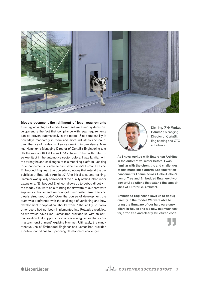

### **Models document the fulfilment of legal requirements**

One big advantage of model-based software and systems development is the fact that compliance with legal requirements can be proven automatically in the model. Since traceability is nowadays mandatory in more and more industries and countries, the use of models is likewise growing in prevalence. Markus Hammer is Managing Director of CertaBit Engineering and fills the role of CTO at Petwalk: "As I have worked with Enterprise Architect in the automotive sector before, I was familiar with the strengths and challenges of this modeling platform. Looking for enhancements I came across LieberLieber's LemonTree and Embedded Engineer, two powerful solutions that extend the capabilities of Enterprise Architect." After initial tests and training, Hammer was quickly convinced of the quality of the LieberLieber extensions. "Embedded Engineer allows us to debug directly in the model. We were able to bring the firmware of our hardware suppliers in-house and we now get much faster, error-free and clearly structured code." Over the course of development the team was confronted with the challenge of versioning and how development cooperation should work. "The ability to block other users had not been implemented into Petwalk's workflow as we would have liked. LemonTree provides us with an optimal solution that supports us in all versioning issues that occur in a team environment," explains Hammer. Ultimately, the simultaneous use of Embedded Engineer and LemonTree provides excellent conditions for upcoming development challenges.



Dipl. Ing. (FH) Markus Hammer, Managing Director of CertaBit Engineering and CTO at Petwalk

As I have worked with Enterprise Architect in the automotive sector before, I was familiar with the strengths and challenges of this modeling platform. Looking for enhancements I came across LieberLieber's LemonTree and Embedded Engineer, two powerful solutions that extend the capabilities of Enterprise Architect.

Embedded Engineer allows us to debug directly in the model. We were able to bring the firmware of our hardware suppliers in-house and we now get much faster, error-free and clearly structured code.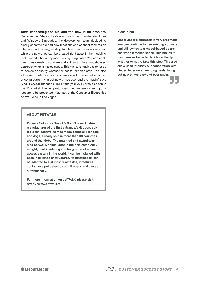**Now, connecting the old and the new is no problem.**  Because the Petwalk door's electronics run on embedded Linux and Windows Embedded, the development team decided to clearly separate old and new functions and connect them via an interface. In this way, existing functions can be easily retained while the new ones can be created right away in the modeling tool. LieberLieber's approach is very pragmatic: You can continue to use existing software and still switch to a model-based approach when it makes sense. This makes it much easier for us to decide on the fly whether or not to take this step. This also allow us to intensify our cooperation with LieberLieber on an ongoing basis, trying out new things over and over again," says Kindl. Petwalk intends to kick off the year 2018 with a splash in the US market: The first prototypes from the re-engineering project are to be presented in January at the Consumer Electronics Show (CES) in Las Vegas.

#### Klaus Kindl

LieberLieber's approach is very pragmatic: You can continue to use existing software and still switch to a model-based approach when it makes sense. This makes it much easier for us to decide on the fly whether or not to take this step. This also allow us to intensify our cooperation with LieberLieber on an ongoing basis, trying out new things over and over again.



#### **About Petwalk**

Petwalk Solutions GmbH & Co KG is an Austrian manufacturer of the first entrance/exit doors suitable for 'passive' homes made especially for cats and dogs, already sold in more than 30 countries around the globe. The patented and award-winning petWALK animal door is the only completely airtight, heat-insulating and burglar-proof animal access system in the world. It can be installed with ease in all kinds of structures, its functionality can be adapted to suit individual tastes, it features contactless pet detection and it opens and closes automatically.

For more information on petWALK, please visit: https://www.petwalk.at